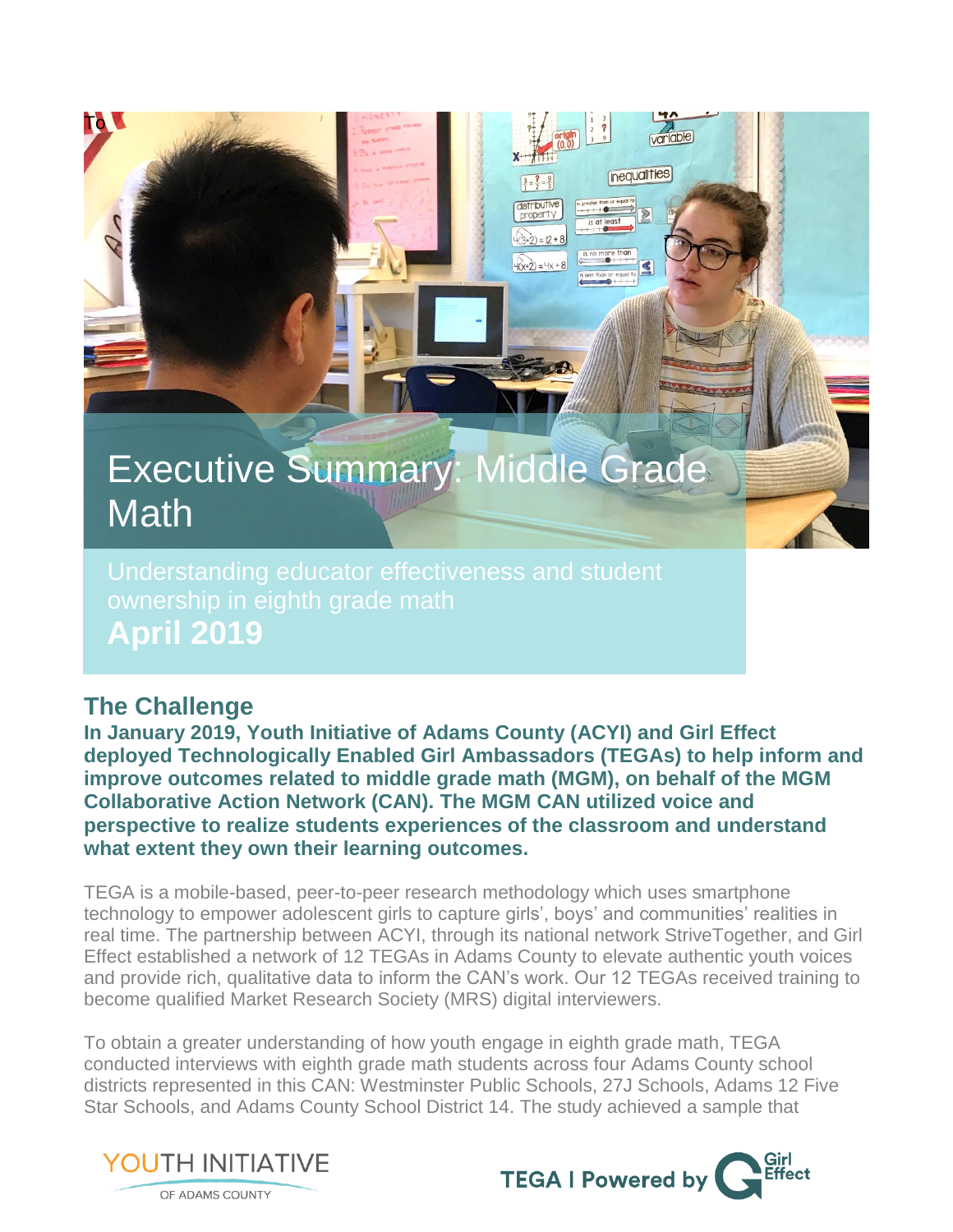# Executive Summary: Middle Grade **Math**

Understanding educator effectiveness and student **April 2019**

## **The Challenge**

To

**In January 2019, Youth Initiative of Adams County (ACYI) and Girl Effect deployed Technologically Enabled Girl Ambassadors (TEGAs) to help inform and improve outcomes related to middle grade math (MGM), on behalf of the MGM Collaborative Action Network (CAN). The MGM CAN utilized voice and perspective to realize students experiences of the classroom and understand what extent they own their learning outcomes.**

TEGA is a mobile-based, peer-to-peer research methodology which uses smartphone technology to empower adolescent girls to capture girls', boys' and communities' realities in real time. The partnership between ACYI, through its national network StriveTogether, and Girl Effect established a network of 12 TEGAs in Adams County to elevate authentic youth voices and provide rich, qualitative data to inform the CAN's work. Our 12 TEGAs received training to become qualified Market Research Society (MRS) digital interviewers.

To obtain a greater understanding of how youth engage in eighth grade math, TEGA conducted interviews with eighth grade math students across four Adams County school districts represented in this CAN: Westminster Public Schools, 27J Schools, Adams 12 Five Star Schools, and Adams County School District 14. The study achieved a sample that





variable

**inequalities** 

 $(3+2) = 2 + 8$  $\widehat{H(x+2)} = 4x$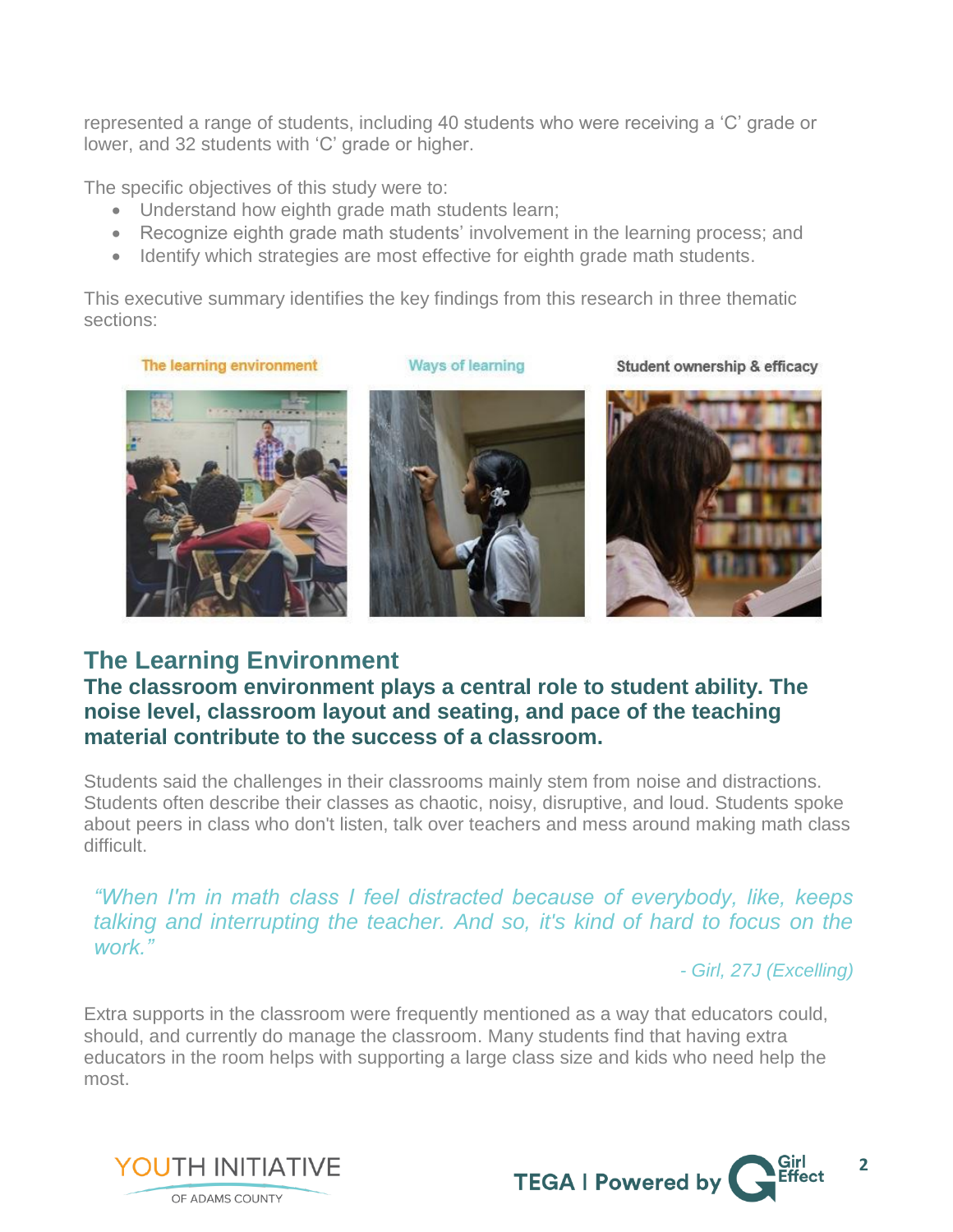represented a range of students, including 40 students who were receiving a 'C' grade or lower, and 32 students with 'C' grade or higher.

The specific objectives of this study were to:

- Understand how eighth grade math students learn;
- Recognize eighth grade math students' involvement in the learning process; and
- Identify which strategies are most effective for eighth grade math students.

This executive summary identifies the key findings from this research in three thematic sections:

The learning environment



Student ownership & efficacy



### **The Learning Environment**

#### **The classroom environment plays a central role to student ability. The noise level, classroom layout and seating, and pace of the teaching material contribute to the success of a classroom.**

Students said the challenges in their classrooms mainly stem from noise and distractions. Students often describe their classes as chaotic, noisy, disruptive, and loud. Students spoke about peers in class who don't listen, talk over teachers and mess around making math class difficult.

*"When I'm in math class I feel distracted because of everybody, like, keeps talking and interrupting the teacher. And so, it's kind of hard to focus on the work."*

*- Girl, 27J (Excelling)*

Extra supports in the classroom were frequently mentioned as a way that educators could, should, and currently do manage the classroom. Many students find that having extra educators in the room helps with supporting a large class size and kids who need help the most.



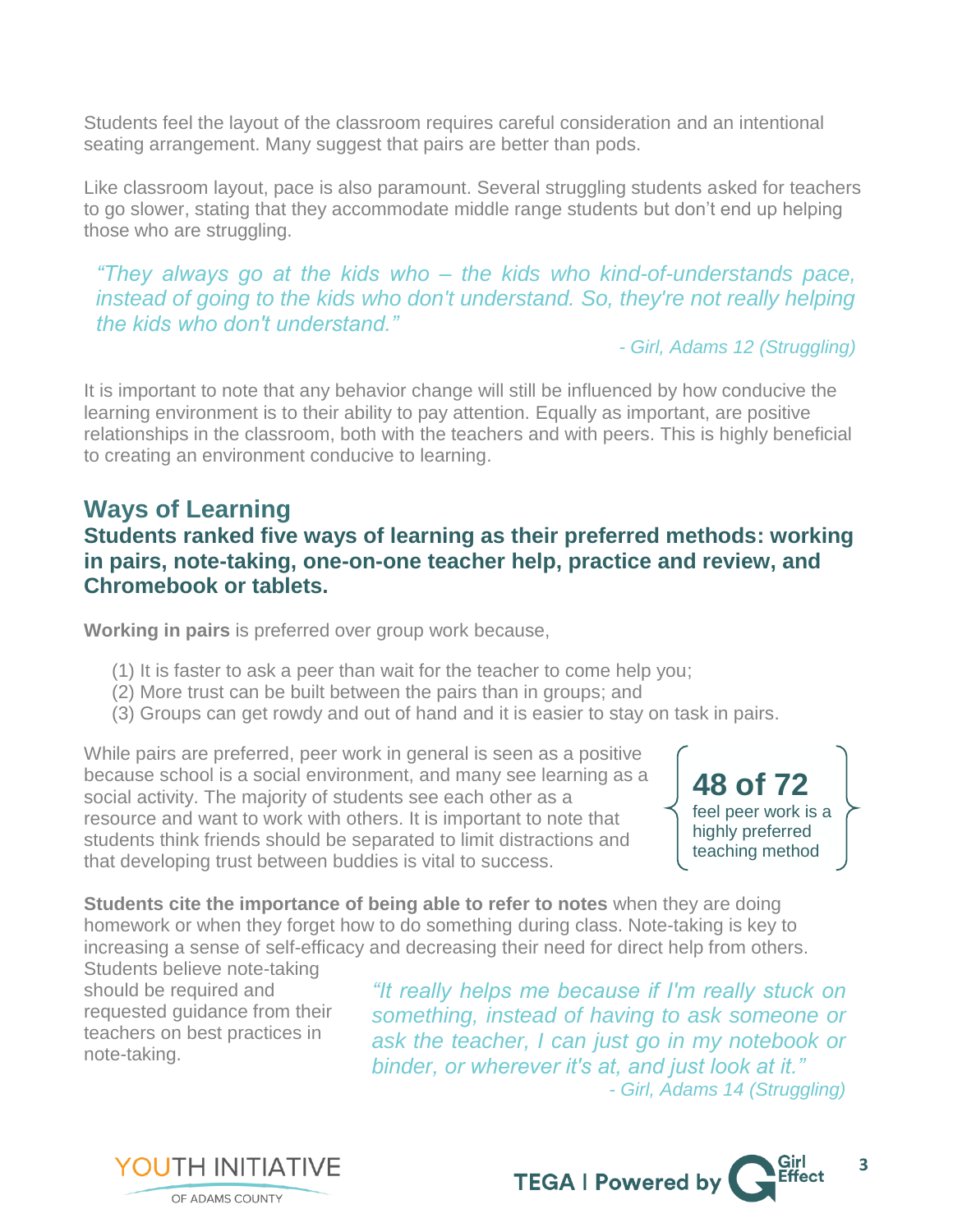Students feel the layout of the classroom requires careful consideration and an intentional seating arrangement. Many suggest that pairs are better than pods.

Like classroom layout, pace is also paramount. Several struggling students asked for teachers to go slower, stating that they accommodate middle range students but don't end up helping those who are struggling.

*"They always go at the kids who – the kids who kind-of-understands pace, instead of going to the kids who don't understand. So, they're not really helping the kids who don't understand."*

*- Girl, Adams 12 (Struggling)*

It is important to note that any behavior change will still be influenced by how conducive the learning environment is to their ability to pay attention. Equally as important, are positive relationships in the classroom, both with the teachers and with peers. This is highly beneficial to creating an environment conducive to learning.

## **Ways of Learning**

#### **Students ranked five ways of learning as their preferred methods: working in pairs, note-taking, one-on-one teacher help, practice and review, and Chromebook or tablets.**

**Working in pairs** is preferred over group work because,

- (1) It is faster to ask a peer than wait for the teacher to come help you;
- (2) More trust can be built between the pairs than in groups; and
- (3) Groups can get rowdy and out of hand and it is easier to stay on task in pairs.

While pairs are preferred, peer work in general is seen as a positive because school is a social environment, and many see learning as a social activity. The majority of students see each other as a resource and want to work with others. It is important to note that students think friends should be separated to limit distractions and that developing trust between buddies is vital to success.

**48 of 72** feel peer work is a highly preferred teaching method

**Students cite the importance of being able to refer to notes** when they are doing homework or when they forget how to do something during class. Note-taking is key to increasing a sense of self-efficacy and decreasing their need for direct help from others.

Students believe note-taking should be required and requested guidance from their teachers on best practices in note-taking.

**YOUTH INITIATIVE** 

OF ADAMS COUNTY

*"It really helps me because if I'm really stuck on something, instead of having to ask someone or ask the teacher, I can just go in my notebook or binder, or wherever it's at, and just look at it." - Girl, Adams 14 (Struggling)*

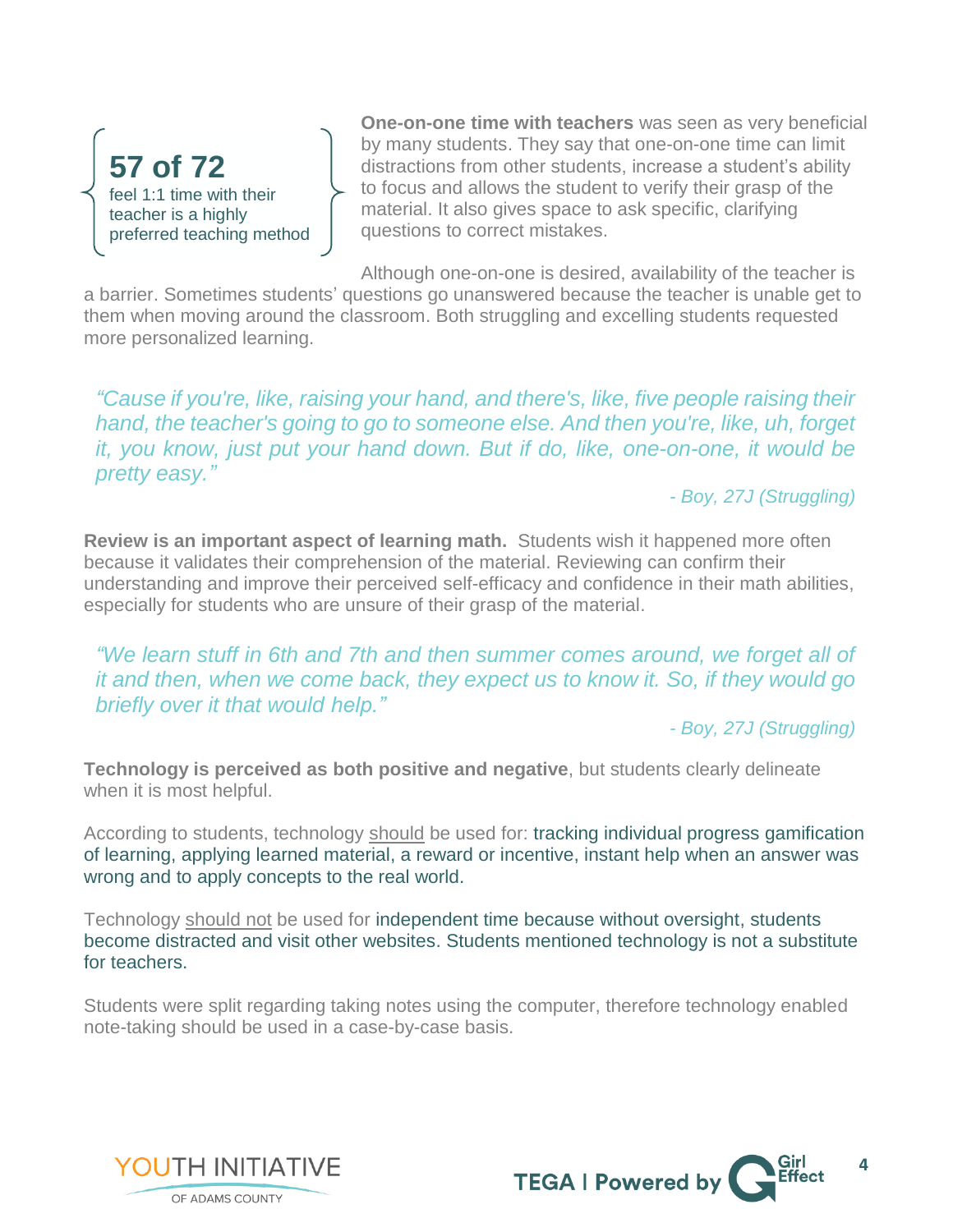**57 of 72** feel 1:1 time with their teacher is a highly preferred teaching method

**One-on-one time with teachers** was seen as very beneficial by many students. They say that one-on-one time can limit distractions from other students, increase a student's ability to focus and allows the student to verify their grasp of the material. It also gives space to ask specific, clarifying questions to correct mistakes.

Although one-on-one is desired, availability of the teacher is

a barrier. Sometimes students' questions go unanswered because the teacher is unable get to them when moving around the classroom. Both struggling and excelling students requested more personalized learning.

*"Cause if you're, like, raising your hand, and there's, like, five people raising their hand, the teacher's going to go to someone else. And then you're, like, uh, forget it, you know, just put your hand down. But if do, like, one-on-one, it would be pretty easy."*

*- Boy, 27J (Struggling)*

**Review is an important aspect of learning math.** Students wish it happened more often because it validates their comprehension of the material. Reviewing can confirm their understanding and improve their perceived self-efficacy and confidence in their math abilities, especially for students who are unsure of their grasp of the material.

*"We learn stuff in 6th and 7th and then summer comes around, we forget all of it and then, when we come back, they expect us to know it. So, if they would go briefly over it that would help."*

*- Boy, 27J (Struggling)*

**Technology is perceived as both positive and negative**, but students clearly delineate when it is most helpful.

According to students, technology should be used for: tracking individual progress gamification of learning, applying learned material, a reward or incentive, instant help when an answer was wrong and to apply concepts to the real world.

Technology should not be used for independent time because without oversight, students become distracted and visit other websites. Students mentioned technology is not a substitute for teachers.

Students were split regarding taking notes using the computer, therefore technology enabled note-taking should be used in a case-by-case basis.



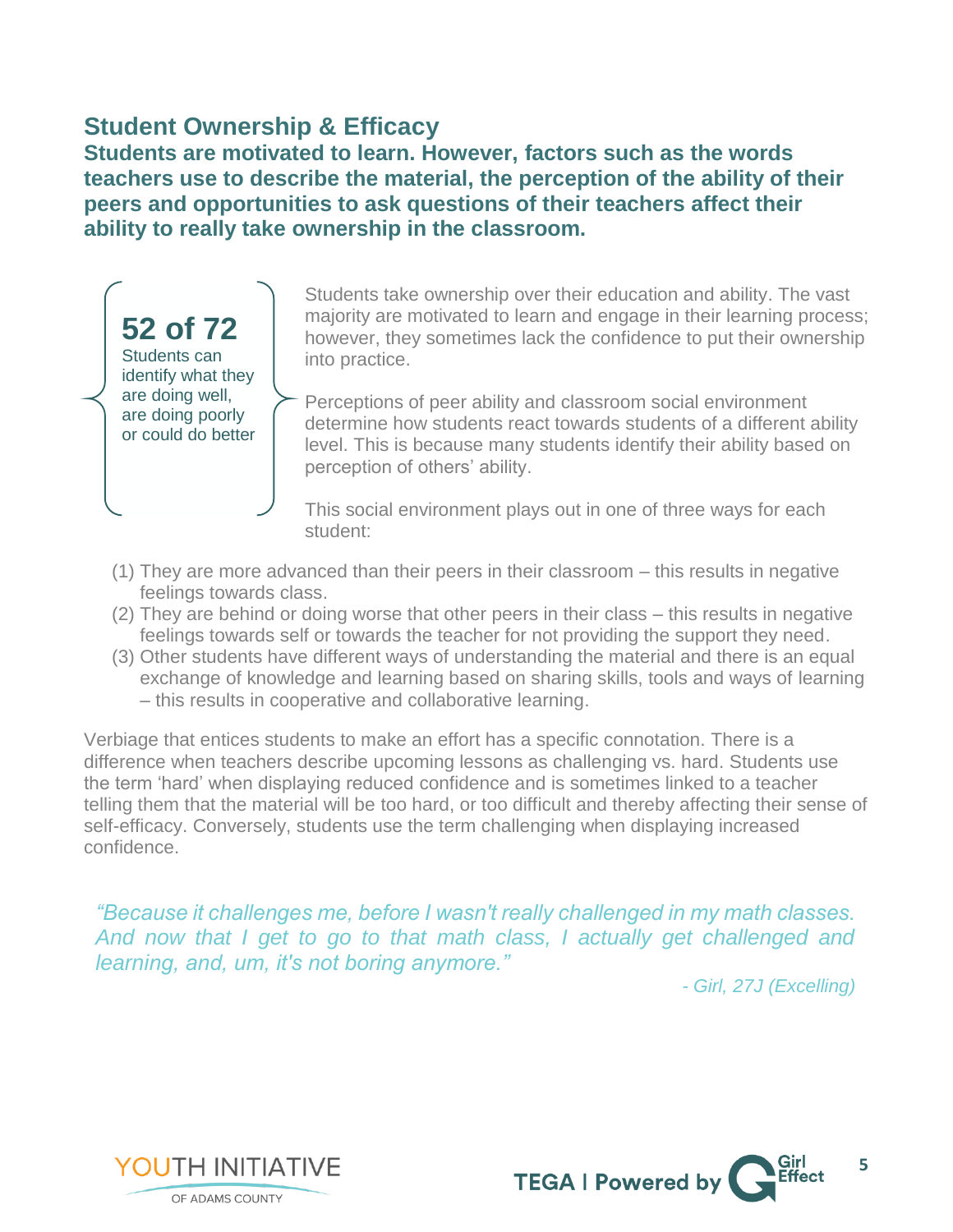## **Student Ownership & Efficacy**

**Students are motivated to learn. However, factors such as the words teachers use to describe the material, the perception of the ability of their peers and opportunities to ask questions of their teachers affect their ability to really take ownership in the classroom.**



Students take ownership over their education and ability. The vast majority are motivated to learn and engage in their learning process; however, they sometimes lack the confidence to put their ownership into practice.

Perceptions of peer ability and classroom social environment determine how students react towards students of a different ability level. This is because many students identify their ability based on perception of others' ability.

This social environment plays out in one of three ways for each student:

- (1) They are more advanced than their peers in their classroom this results in negative feelings towards class.
- (2) They are behind or doing worse that other peers in their class this results in negative feelings towards self or towards the teacher for not providing the support they need.
- (3) Other students have different ways of understanding the material and there is an equal exchange of knowledge and learning based on sharing skills, tools and ways of learning – this results in cooperative and collaborative learning.

Verbiage that entices students to make an effort has a specific connotation. There is a difference when teachers describe upcoming lessons as challenging vs. hard. Students use the term 'hard' when displaying reduced confidence and is sometimes linked to a teacher telling them that the material will be too hard, or too difficult and thereby affecting their sense of self-efficacy. Conversely, students use the term challenging when displaying increased confidence.

*"Because it challenges me, before I wasn't really challenged in my math classes. And now that I get to go to that math class, I actually get challenged and learning, and, um, it's not boring anymore."*

*- Girl, 27J (Excelling)*



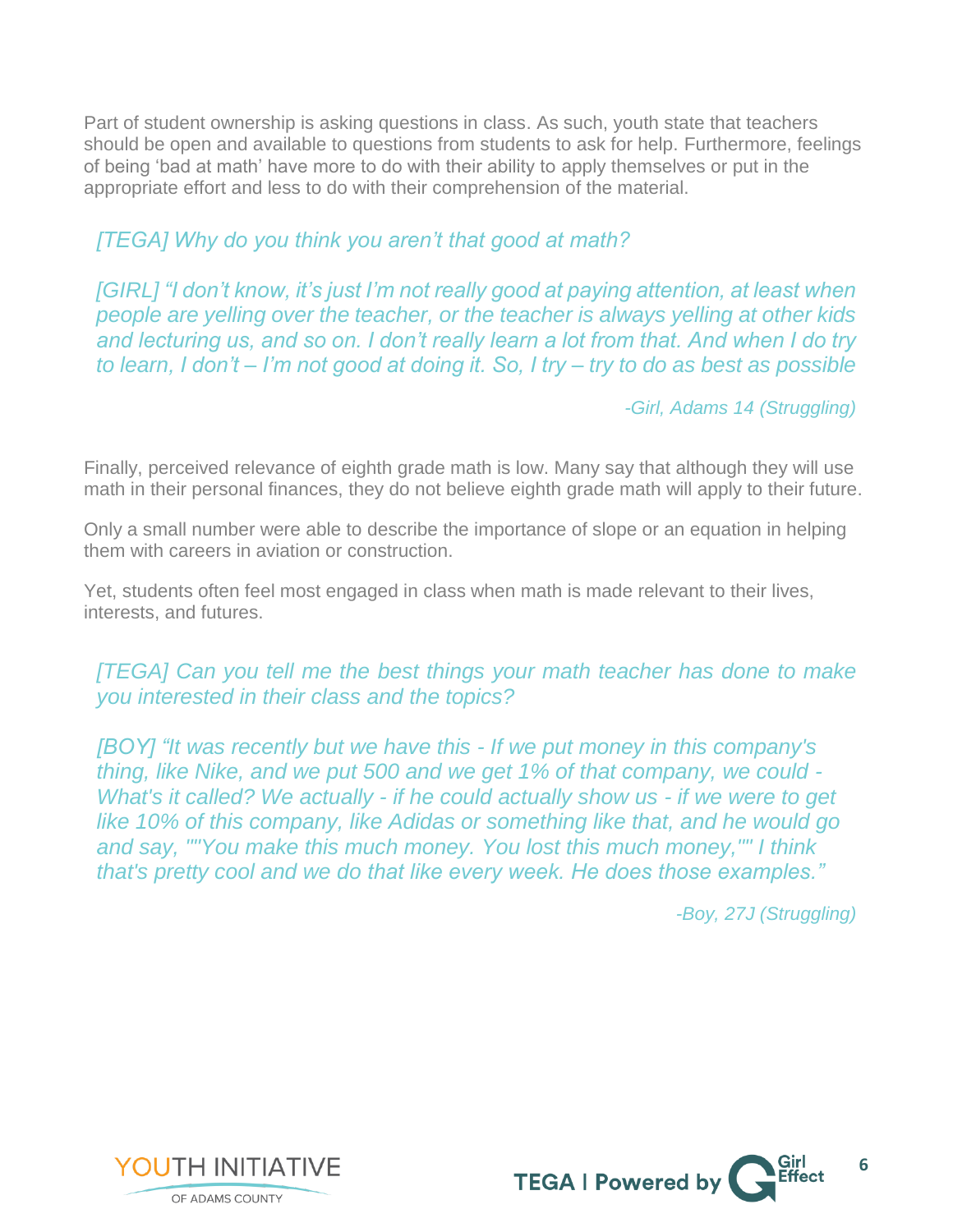Part of student ownership is asking questions in class. As such, youth state that teachers should be open and available to questions from students to ask for help. Furthermore, feelings of being 'bad at math' have more to do with their ability to apply themselves or put in the appropriate effort and less to do with their comprehension of the material.

#### *[TEGA] Why do you think you aren't that good at math?*

*[GIRL] "I don't know, it's just I'm not really good at paying attention, at least when people are yelling over the teacher, or the teacher is always yelling at other kids and lecturing us, and so on. I don't really learn a lot from that. And when I do try to learn, I don't – I'm not good at doing it. So, I try – try to do as best as possible* 

 *-Girl, Adams 14 (Struggling)*

Finally, perceived relevance of eighth grade math is low. Many say that although they will use math in their personal finances, they do not believe eighth grade math will apply to their future.

Only a small number were able to describe the importance of slope or an equation in helping them with careers in aviation or construction.

Yet, students often feel most engaged in class when math is made relevant to their lives, interests, and futures.

#### *[TEGA] Can you tell me the best things your math teacher has done to make you interested in their class and the topics?*

*[BOY] "It was recently but we have this - If we put money in this company's thing, like Nike, and we put 500 and we get 1% of that company, we could - What's it called? We actually - if he could actually show us - if we were to get like 10% of this company, like Adidas or something like that, and he would go and say, ""You make this much money. You lost this much money,"" I think that's pretty cool and we do that like every week. He does those examples."*

 *-Boy, 27J (Struggling)*